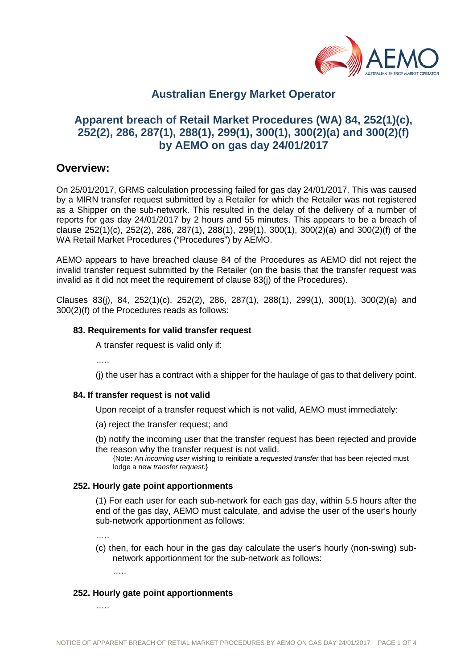

# **Australian Energy Market Operator**

# **Apparent breach of Retail Market Procedures (WA) 84, 252(1)(c), 252(2), 286, 287(1), 288(1), 299(1), 300(1), 300(2)(a) and 300(2)(f) by AEMO on gas day 24/01/2017**

## **Overview:**

On 25/01/2017, GRMS calculation processing failed for gas day 24/01/2017. This was caused by a MIRN transfer request submitted by a Retailer for which the Retailer was not registered as a Shipper on the sub-network. This resulted in the delay of the delivery of a number of reports for gas day 24/01/2017 by 2 hours and 55 minutes. This appears to be a breach of clause 252(1)(c), 252(2), 286, 287(1), 288(1), 299(1), 300(1), 300(2)(a) and 300(2)(f) of the WA Retail Market Procedures ("Procedures") by AEMO.

AEMO appears to have breached clause 84 of the Procedures as AEMO did not reject the invalid transfer request submitted by the Retailer (on the basis that the transfer request was invalid as it did not meet the requirement of clause 83(j) of the Procedures).

Clauses 83(j), 84, 252(1)(c), 252(2), 286, 287(1), 288(1), 299(1), 300(1), 300(2)(a) and 300(2)(f) of the Procedures reads as follows:

### **83. Requirements for valid transfer request**

A transfer request is valid only if:

……

(j) the user has a contract with a shipper for the haulage of gas to that delivery point.

## **84. If transfer request is not valid**

Upon receipt of a transfer request which is not valid, AEMO must immediately:

- (a) reject the transfer request; and
- (b) notify the incoming user that the transfer request has been rejected and provide the reason why the transfer request is not valid.
	- {Note: An *incoming user* wishing to reinitiate a *requested transfer* that has been rejected must lodge a new *transfer request*.}

#### **252. Hourly gate point apportionments**

(1) For each user for each sub-network for each gas day, within 5.5 hours after the end of the gas day, AEMO must calculate, and advise the user of the user's hourly sub-network apportionment as follows:

……

(c) then, for each hour in the gas day calculate the user's hourly (non-swing) subnetwork apportionment for the sub-network as follows:

…..

#### **252. Hourly gate point apportionments**

…..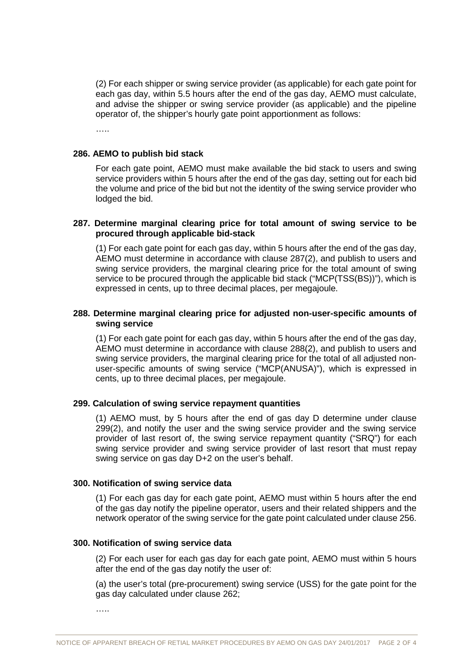(2) For each shipper or swing service provider (as applicable) for each gate point for each gas day, within 5.5 hours after the end of the gas day, AEMO must calculate, and advise the shipper or swing service provider (as applicable) and the pipeline operator of, the shipper's hourly gate point apportionment as follows:

……

### **286. AEMO to publish bid stack**

For each gate point, AEMO must make available the bid stack to users and swing service providers within 5 hours after the end of the gas day, setting out for each bid the volume and price of the bid but not the identity of the swing service provider who lodged the bid.

## **287. Determine marginal clearing price for total amount of swing service to be procured through applicable bid-stack**

(1) For each gate point for each gas day, within 5 hours after the end of the gas day, AEMO must determine in accordance with clause 287(2), and publish to users and swing service providers, the marginal clearing price for the total amount of swing service to be procured through the applicable bid stack ("MCP(TSS(BS))"), which is expressed in cents, up to three decimal places, per megajoule.

## **288. Determine marginal clearing price for adjusted non-user-specific amounts of swing service**

(1) For each gate point for each gas day, within 5 hours after the end of the gas day, AEMO must determine in accordance with clause 288(2), and publish to users and swing service providers, the marginal clearing price for the total of all adjusted nonuser-specific amounts of swing service ("MCP(ANUSA)"), which is expressed in cents, up to three decimal places, per megajoule.

#### **299. Calculation of swing service repayment quantities**

(1) AEMO must, by 5 hours after the end of gas day D determine under clause 299(2), and notify the user and the swing service provider and the swing service provider of last resort of, the swing service repayment quantity ("SRQ") for each swing service provider and swing service provider of last resort that must repay swing service on gas day D+2 on the user's behalf.

#### **300. Notification of swing service data**

(1) For each gas day for each gate point, AEMO must within 5 hours after the end of the gas day notify the pipeline operator, users and their related shippers and the network operator of the swing service for the gate point calculated under clause 256.

#### **300. Notification of swing service data**

(2) For each user for each gas day for each gate point, AEMO must within 5 hours after the end of the gas day notify the user of:

(a) the user's total (pre-procurement) swing service (USS) for the gate point for the gas day calculated under clause 262;

…..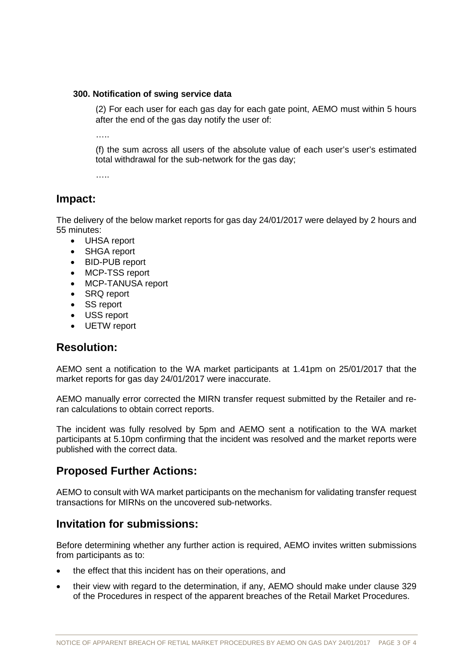### **300. Notification of swing service data**

(2) For each user for each gas day for each gate point, AEMO must within 5 hours after the end of the gas day notify the user of:

……

(f) the sum across all users of the absolute value of each user's user's estimated total withdrawal for the sub-network for the gas day;

……

# **Impact:**

The delivery of the below market reports for gas day 24/01/2017 were delayed by 2 hours and 55 minutes:

- UHSA report
- SHGA report
- BID-PUB report
- MCP-TSS report
- MCP-TANUSA report
- SRQ report
- SS report
- USS report
- UETW report

## **Resolution:**

AEMO sent a notification to the WA market participants at 1.41pm on 25/01/2017 that the market reports for gas day 24/01/2017 were inaccurate.

AEMO manually error corrected the MIRN transfer request submitted by the Retailer and reran calculations to obtain correct reports.

The incident was fully resolved by 5pm and AEMO sent a notification to the WA market participants at 5.10pm confirming that the incident was resolved and the market reports were published with the correct data.

# **Proposed Further Actions:**

AEMO to consult with WA market participants on the mechanism for validating transfer request transactions for MIRNs on the uncovered sub-networks.

## **Invitation for submissions:**

Before determining whether any further action is required, AEMO invites written submissions from participants as to:

- the effect that this incident has on their operations, and
- their view with regard to the determination, if any, AEMO should make under clause 329 of the Procedures in respect of the apparent breaches of the Retail Market Procedures.